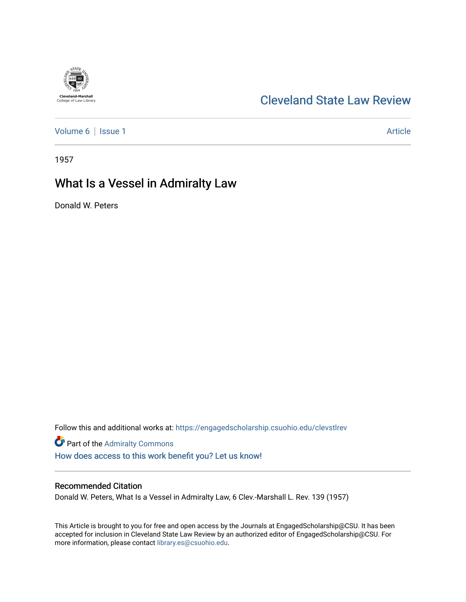# **Cleveland-Marshall**<br>College of Law Library

## [Cleveland State Law Review](https://engagedscholarship.csuohio.edu/clevstlrev)

[Volume 6](https://engagedscholarship.csuohio.edu/clevstlrev/vol6) | [Issue 1](https://engagedscholarship.csuohio.edu/clevstlrev/vol6/iss1) Article

1957

# What Is a Vessel in Admiralty Law

Donald W. Peters

Follow this and additional works at: [https://engagedscholarship.csuohio.edu/clevstlrev](https://engagedscholarship.csuohio.edu/clevstlrev?utm_source=engagedscholarship.csuohio.edu%2Fclevstlrev%2Fvol6%2Fiss1%2F15&utm_medium=PDF&utm_campaign=PDFCoverPages)

Part of the [Admiralty Commons](http://network.bepress.com/hgg/discipline/580?utm_source=engagedscholarship.csuohio.edu%2Fclevstlrev%2Fvol6%2Fiss1%2F15&utm_medium=PDF&utm_campaign=PDFCoverPages) [How does access to this work benefit you? Let us know!](http://library.csuohio.edu/engaged/)

### Recommended Citation

Donald W. Peters, What Is a Vessel in Admiralty Law, 6 Clev.-Marshall L. Rev. 139 (1957)

This Article is brought to you for free and open access by the Journals at EngagedScholarship@CSU. It has been accepted for inclusion in Cleveland State Law Review by an authorized editor of EngagedScholarship@CSU. For more information, please contact [library.es@csuohio.edu](mailto:library.es@csuohio.edu).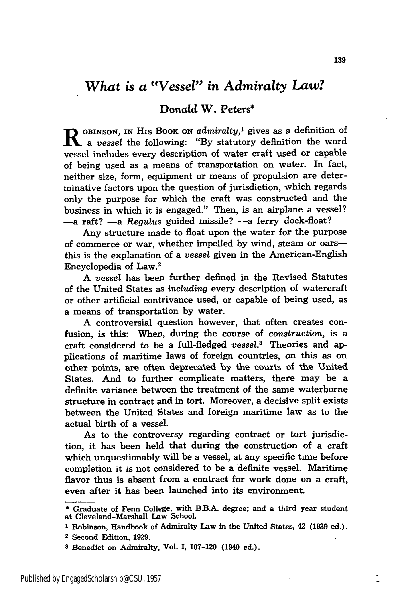## *What is a "Vessel" in Admiralty* Law?

#### Donald W. Peters\*

**R** OBINSON, IN HIS BOOK ON *admiralty*,<sup>1</sup> gives as a definition of *a vessel* the following: "By statutory definition the word vessel includes every description of water craft used or capable of being used as a means of transportation on water. In fact, neither size, form, equipment or means of propulsion are determinative factors upon the question of jurisdiction, which regards only the purpose for which the craft was constructed and the business in which it is engaged." Then, is an airplane a vessel? -a raft? -a *Regulus* guided missile? -a ferry dock-float?

Any structure made to float upon the water for the purpose of commerce or war, whether impelled by wind, steam or oarsthis is the explanation of a *vessel* given in the American-English Encyclopedia of Law.2

*A vessel* has been further defined in the Revised Statutes of the United States as *including* every description of watercraft or other artificial contrivance used, or capable of being used, as a means of transportation by water.

A controversial question however, that often creates confusion, is this: When, during the course of *construction,* is a craft considered to be a full-fledged *vessel.3* Theories and applications of maritime laws of foreign countries, on this as on other points, are often deprecated by the courts of the United States. And to further complicate matters, there may be a definite variance between the treatment of the same waterborne structure in contract and in tort. Moreover, a decisive split exists between the United States and foreign maritime law as to the actual birth of a vessel.

As to the controversy regarding contract or tort jurisdiction, it has been held that during the construction of a craft which unquestionably will be a vessel, at any specific time before completion it is not considered to be a definite vessel. Maritime flavor thus is absent from a contract for work done on a craft, even after it has been launched into its environment.

**<sup>\*</sup>** Graduate of Fenn College, with B.BA. degree; and a third year student at Cleveland-Marshall Law School.

**<sup>1</sup>** Robinson, Handbook of Admiralty Law in the United States, 42 **(1939** ed.). 2 Second Edition, **1929.**

**<sup>8</sup>** Benedict on Admiralty, Vol. **I,** 107-120 (1940 ed.).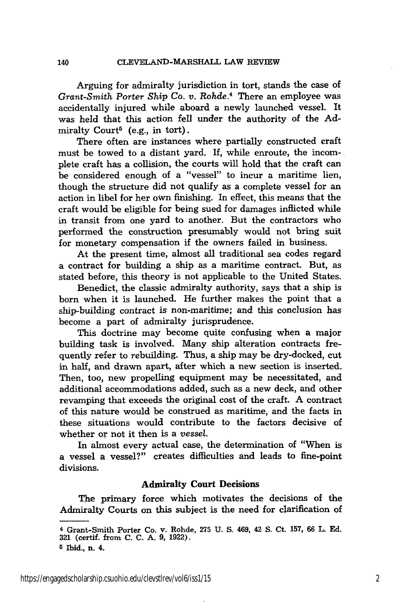Arguing for admiralty jurisdiction in tort, stands the case of *Grant-Smith Porter Ship Co. v.* Rohde. 4 There an employee was accidentally injured while aboard a newly launched vessel. It was held that this action fell under the authority of the **Ad**miralty  $\text{Count}^5$  (e.g., in tort).

There often are instances where partially constructed craft must be towed to a distant yard. If, while enroute, the incomplete craft has a collision, the courts will hold that the craft can be considered enough of a "vessel" to incur a maritime lien, though the structure did not qualify as a complete vessel for an action in libel for her own finishing. In effect, this means that the craft would be eligible for being sued for damages inflicted while in transit from one yard to another. But the contractors who performed the construction presumably would not bring suit for monetary compensation if the owners failed in business.

At the present time, almost all traditional sea codes regard a contract for building a ship as a maritime contract. But, as stated before, this theory is not applicable to the United States.

Benedict, the classic admiralty authority, says that a ship is born when it is launched. He further makes the point that a ship-building contract is non-maritime; and this conclusion has become a part of admiralty jurisprudence.

This doctrine may become quite confusing when a major building task is involved. Many ship alteration contracts frequently refer to rebuilding. Thus, a ship may be dry-docked, cut in half, and drawn apart, after which a new section is inserted. Then, too, new propelling equipment may be necessitated, and additional accommodations added, such as a new deck, and other revamping that exceeds the original cost of the craft. A contract of this nature would be construed as maritime, and the facts in these situations would contribute to the factors decisive of whether or not it then is a *vessel.*

In almost every actual case, the determination of "When is a vessel a vessel?" creates difficulties and leads to fine-point divisions.

#### **Admiralty Court Decisions**

The primary force which motivates the decisions of the Admiralty Courts on this subject is the need for clarification of

**5** Ibid., n. 4.

https://engagedscholarship.csuohio.edu/clevstlrev/vol6/iss1/15 2

<sup>4</sup>Grant-Smith Porter Co. v. Rohde, 275 U. S. 469, 42 S. Ct. 157, **66** L. Ed. **321** (certif. from **C. C. A.** 9, 1922).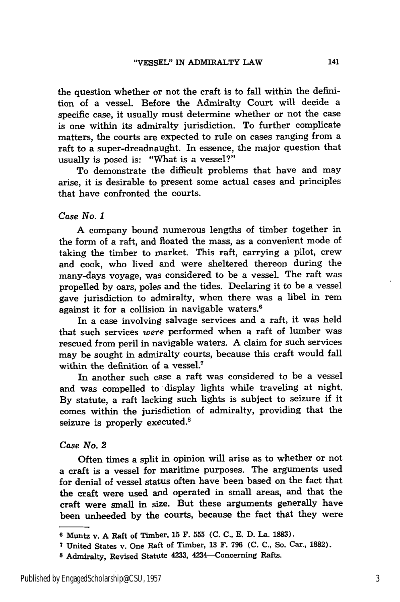the question whether or not the craft is to fall within the definition of a vessel. Before the Admiralty Court will decide a specific case, it usually must determine whether or not the case is one within its admiralty jurisdiction. To further complicate matters, the courts are expected to rule on cases ranging from a raft to a super-dreadnaught. In essence, the major question that usually is posed is: "What is a vessel?"

To demonstrate the difficult problems that have and may arise, it is desirable to present some actual cases and principles that have confronted the courts.

#### *Case No. 1*

A company bound numerous lengths of timber together in the form of a raft, and floated the mass, as a convenient mode of taking the timber to market. This raft, carrying a pilot, crew and cook, who lived and were sheltered thereon during the many-days voyage, was considered to be a vessel. The raft was propelled by oars, poles and the tides. Declaring it to be a vessel gave jurisdiction to admiralty, when there was a libel in rem against it for a collision in navigable waters.6

In a case involving salvage services and a raft, it was held that such services *were* performed when a raft of lumber was rescued from peril in navigable waters. A claim for such services may be sought in admiralty courts, because this craft would fall within the definition of a vessel.<sup>7</sup>

In another such case a raft was considered to be a vessel and was compelled to display lights while traveling at night. **By** statute, a raft lacking such lights is subject to seizure if it comes within the jurisdiction of admiralty, providing that the seizure is properly executed.<sup>8</sup>

#### *Case No. 2*

Often times a split in opinion will arise as to whether or not a craft is a vessel for maritime purposes. The arguments used for denial of vessel status often have been based on the fact that the craft were used and operated in small areas, and that the craft were small in size. But these arguments generally have been unheeded by the courts, because the fact that they were

**<sup>6</sup>** Muntz v. **A** Raft of Timber, 15 F. **555 (C. C.,** E. D. La. 1883).

**<sup>7</sup>**United States v. One Raft of Timber, 13 F. **796 (C. C.,** So. Car., **1882).**

**<sup>8</sup>** Admiralty, Revised Statute 4233, 4234-Concerning Rafts.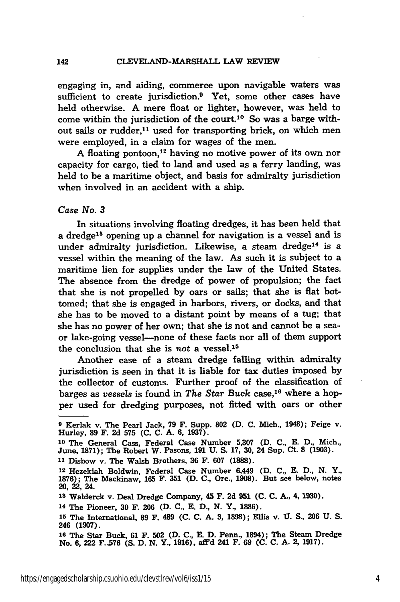engaging in, and aiding, commerce upon navigable waters was sufficient to create jurisdiction.<sup>9</sup> Yet, some other cases have held otherwise. A mere float or lighter, however, was held to come within the jurisdiction of the court.10 So was a barge without sails or rudder,<sup>11</sup> used for transporting brick, on which men were employed, in a claim for wages of the men.

A floating pontoon,<sup>12</sup> having no motive power of its own nor capacity for cargo, tied to land and used as a ferry landing, was held to be a maritime object, and basis for admiralty jurisdiction when involved in an accident with a ship.

#### *Case No. 3*

In situations involving floating dredges, it has been held that a dredge<sup>13</sup> opening up a channel for navigation is a vessel and is under admiralty jurisdiction. Likewise, a steam dredge<sup>14</sup> is a vessel within the meaning of the law. As such it is subject to a maritime lien for supplies under the law of the United States. The absence from the dredge of power of propulsion; the fact that she is not propelled by oars or sails; that she is flat bottomed; that she is engaged in harbors, rivers, or docks, and that she has to be moved to a distant point **by** means of a tug; that she has no power of her own; that she is not and cannot be a seaor lake-going vessel-none of these facts nor all of them support the conclusion that she is *not* a vessel.15

Another case of a steam dredge falling within admiralty jurisdiction is seen in that it is liable for tax duties imposed by the collector of customs. Further proof of the classification of barges as *vessels* is found in *The Star Buck* case, 16 where a hopper used for dredging purposes, not fitted with oars or other

**<sup>9</sup>**Kerlak v. The Pearl Jack, **79** F. Supp. **802** (D. **C.** Mich., 1948); Feige v. Hurley, **89** F. **2d 575 (C. C.** A. **6, 1937).**

**<sup>10</sup>**The General Cass, Federal Case Number **5,307** (D. **C., E. D.,** Mich., June, 1871); The Robert W. Pasons, **191 U.** S. 17, **30,** 24 Sup. Ct. **8** (1903). **<sup>11</sup>**Disbow v. The Walsh Brothers, **36** F. **607 (1888).**

**<sup>12</sup>**Hezekiah Boldwin, Federal Case Number 6,449 (D. **C., E.** D., N. Y., **1876);** The Mackinaw, **165** F. **351** (D. **C.,** Ore., **1908).** But see below, notes 20, 22, 24.

**<sup>13</sup>**Walderck v. Deal Dredge Company, 45 F. **2d 951 (C. C. A.,** 4, 1930).

**<sup>14</sup>**The Pioneer, **30** F. **206 (D. C., E. D., N.** Y., **1886).**

**<sup>15</sup>**The International, **89** F. 489 **(C. C. A. 3, 1898); Ellis** v. **U. S., 206 U. S.** 246 **(1907).**

**<sup>16</sup>**The Star Buck, **61** F. **502 (D. C., E. D.** Penn., 1894); The Steam Dredge No. **6,** 222 **F.,576 (S. D. N.** Y., **1916), aff'd** 241 F. **69 (C. C. A.** 2, **1917).**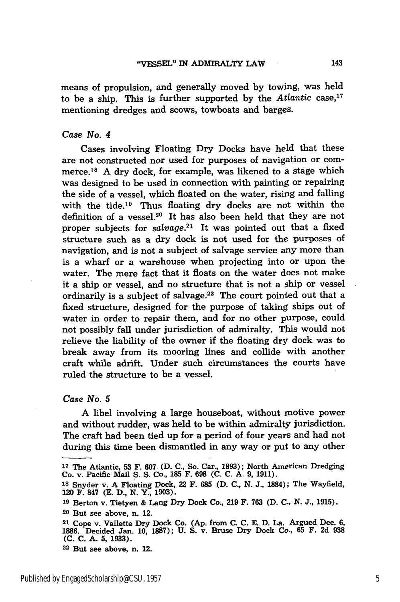means of propulsion, and generally moved **by** towing, was held to be a ship. This is further supported by the *Atlantic* case,<sup>17</sup> mentioning dredges and scows, towboats and barges.

#### *Case No. 4*

Cases involving Floating Dry Docks have held that these are not constructed nor used for purposes of navigation or commerce.<sup>18</sup> A dry dock, for example, was likened to a stage which was designed to be used in connection with painting or repairing the side of a vessel, which floated on the water, rising and falling with the tide.<sup>19</sup> Thus floating dry docks are not within the definition of a vessel.<sup>20</sup> It has also been held that they are not proper subjects for *salvage.21* It was pointed out that a fixed structure such as a dry dock is not used for the purposes of navigation, and is not a subject of salvage service any more than is a wharf or a warehouse when projecting into or upon the water. The mere fact that it floats on the water does not make it a ship or vessel, and no structure that is not a ship or vessel ordinarily is a subject of salvage.<sup>22</sup> The court pointed out that a fixed structure, designed for the purpose of taking ships out of water in order to repair them, and for no other purpose, could not possibly fall under jurisdiction of admiralty. This would not relieve the liability of the owner if the floating dry dock was to break away from its mooring lines and collide with another craft while adrift. Under such circumstances the courts have ruled the structure to be a vessel.

*Case No. 5*

A libel involving a large houseboat, without motive power and without rudder, was held to be within admiralty jurisdiction. The craft had been tied up for a period of four years and had not during this time been dismantled in any way or put to any other

**<sup>22</sup>**But see above, n. 12.

**<sup>17</sup>**The Atlantic, **53** F. **607.** (D. **C.,** So. Car., 1893); North American Dredging Co. v. Pacific Mail S. S. Co., **185** F. **698** (C. C. **A.** 9, **1911).**

**<sup>18</sup>**Snyder v. **A** Floating Dock, 22 F. **685** (D. C., **N.** J., 1884); The Wayfield, 120 **F.** 847 **(E. D., N.** Y., **1903).**

**<sup>19</sup>**Berton v. Tietyen & **Lang** Dry Dock Co., **219** F. **763 (D. C., N. J., 1915). <sup>20</sup>**But see above, n. 12.

<sup>21</sup> Cope v. Vallette Dry Dock Co. **(Ap.** from **C. C. E. D.** La. Argued Dec. **6, 1886.** Decided Jan. **10, 1887); U. S.** v. Bruse Dry Dock Co., **65** F. **2d 938 (C. C. A. 5, 1933).**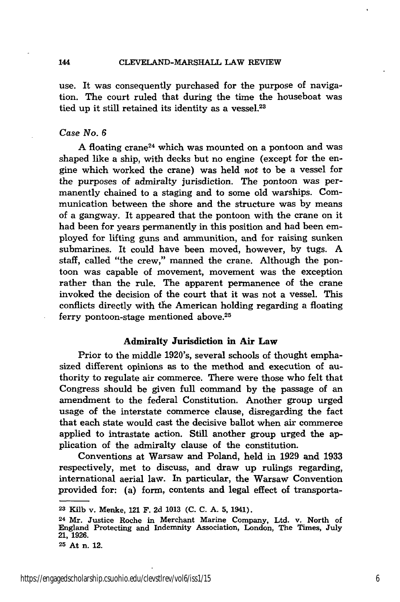use. It was consequently purchased for the purpose of navigation. The court ruled that during the time the houseboat was tied up it still retained its identity as a vessel.<sup>23</sup>

#### *Case No. 6*

A floating crane<sup>24</sup> which was mounted on a pontoon and was shaped like a ship, with decks but no engine (except for the engine which worked the crane) was held not to be a vessel for the purposes of admiralty jurisdiction. The pontoon was permanently chained to a staging and to some old warships. Communication between the shore and the structure was by means of a gangway. It appeared that the pontoon with the crane on it had been for years permanently in this position and had been employed for lifting guns and ammunition, and for raising sunken submarines. It could have been moved, however, by tugs. A staff, called "the crew," manned the crane. Although the pontoon was capable of movement, movement was the exception rather than the rule. The apparent permanence of the crane invoked the decision of the court that it was not a vessel. This conflicts directly with the American holding regarding a floating ferry pontoon-stage mentioned above.<sup>25</sup>

#### Admiralty Jurisdiction in Air **Law**

Prior to the middle 1920's, several schools of thought emphasized different opinions as to the method and execution of authority to regulate air commerce. There were those who felt that Congress should be given full command by the passage of an amendment to the federal Constitution. Another group urged usage of the interstate commerce clause, disregarding the fact that each state would cast the decisive ballot when air commerce applied to intrastate action. Still another group urged the application of the admiralty clause of the constitution.

Conventions at Warsaw and Poland, held in **1929** and **1933** respectively, met to discuss, and draw up rulings regarding, international aerial law. In particular, the Warsaw Convention provided for: (a) form, contents and legal effect of transporta-

**<sup>23</sup>**Kilb v. Menke, 121 F. **2d 1013** (C. C. **A.** 5, 1941).

**<sup>24</sup>**Mr. Justice Roche in Merchant Marine Company, Ltd. v. North of England Protecting and Indemnity Association, London, The Times, July **21, 1926.**

**<sup>25</sup>**At n. 12.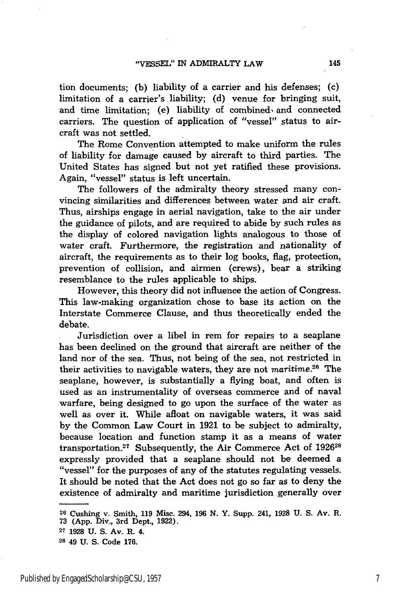tion documents; **(b)** liability of a carrier and his defenses; (c) limitation of a carrier's liability; **(d)** venue for bringing suit, and time limitation; **(e)** liability of combined, and connected carriers. The question of application of "vessel" status to aircraft was not settled.

The Rome Convention attempted to make uniform the rules of liability for damage caused **by** aircraft to third parties. The United States has signed but not yet ratified these provisions. Again, "vessel" status is left uncertain.

The followers of the admiralty theory stressed many convincing similarities and differences between water and air craft. Thus, airships engage in aerial navigation, take to the air under the guidance of pilots, and are required to abide **by** such rules as the display of colored navigation lights analogous to those of water craft. Furthermore, the registration and nationality of aircraft, the requirements as to their log books, flag, protection, prevention of collision, and airmen (crews), bear a striking resemblance to the rules applicable to ships.

However, this theory did not influence the action of Congress. This law-making organization chose to base its action on the Interstate Commerce Clause, and thus theoretically ended the debate.

Jurisdiction over a libel in rem for repairs to a seaplane has been declined on the ground that aircraft are neither of the land nor of the sea. Thus, not being of the sea, not restricted in their activities to navigable waters, they are not maritime.<sup>26</sup> The seaplane, however, is substantially a flying boat, and often is used as an instrumentality of overseas commerce and of naval warfare, being designed to go upon the surface of the water as well as over it. While afloat on navigable waters, it was said **by** the Common Law Court in **1921** to be subject to admiralty, because location and function stamp it as a means of water transportation.27 Subsequently, the Air Commerce Act of **<sup>192628</sup>** expressly provided that a seaplane should not be deemed a "vessel" for the purposes of any of the statutes regulating vessels. It should be noted that the Act does not go so far as to deny the existence of admiralty and maritime jurisdiction generally over

**<sup>26</sup>**Cushing v. Smith, **119** Misc. 294, **196 N.** Y. Supp. **241, 1928 U. S.** Av. R. **73 (App.** Div., 3rd Dept., **1922).**

**<sup>27 1928</sup> U. S.** Av. R. 4.

**<sup>28</sup>** 49 **U. S.** Code **176.**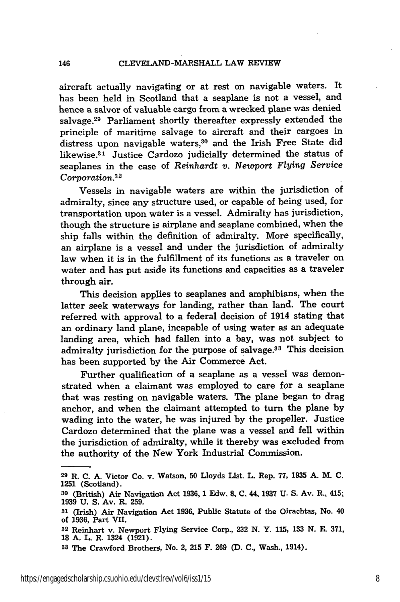146

aircraft actually navigating or at rest on navigable waters. It has been held in Scotland that a seaplane is not a vessel, and hence a salvor of valuable cargo from a wrecked plane was denied salvage.<sup>29</sup> Parliament shortly thereafter expressly extended the principle of maritime salvage to aircraft and their cargoes in distress upon navigable waters,<sup>30</sup> and the Irish Free State did likewise.<sup>31</sup> Justice Cardozo judicially determined the status of seaplanes in the case of *Reinhardt v. Newport Flying Service Corporation.32*

Vessels in navigable waters are within the jurisdiction of admiralty, since any structure used, or capable of being used, for transportation upon water is a vessel. Admiralty has jurisdiction, though the structure is airplane and seaplane combined, when the ship falls within the definition of admiralty. More specifically, an airplane is a vessel and under the jurisdiction of admiralty law when it is in the fulfillment of its functions as a traveler on water and has put aside its functions and capacities as a traveler through air.

This decision applies to seaplanes and amphibians, when the latter seek waterways for landing, rather than land. The court referred with approval to a federal decision of 1914 stating that an ordinary land plane, incapable of using water as an adequate landing area, which had fallen into a bay, was not subject to admiralty jurisdiction for the purpose of salvage.<sup>33</sup> This decision has been supported **by** the Air Commerce Act.

Further qualification of a seaplane as a vessel was demonstrated when a claimant was employed to care for a seaplane that was resting on navigable waters. The plane began to drag anchor, and when the claimant attempted to turn the plane by wading into the water, he was injured by the propeller. Justice Cardozo determined that the plane was a vessel and fell within the jurisdiction of admiralty, while it thereby was excluded from the authority of the New York Industrial Commission.

**<sup>29</sup>**R. **C. A.** Victor Co. v. Watson, **50** Lloyds List. L. Rep. **77, 1935 A.** M. **C.** 1251 (Scotland).

**<sup>30</sup>**(British) Air Navigation Act **1936, 1** Edw. **8, C.** 44, 1937 **U. S.** Av. R., 415; **1939 U. S.** Av. R. **259.**

**<sup>81</sup>**(Irish) Air Navigation Act **1936,** Public Statute of the Oirachtas, No. 40 of **1936,** Part **VII.**

**<sup>32</sup>**Reinhart v. Newport Flying Service Corp., **232 N.** Y. **115, 133 N. E. 371, 18 A.** L. R. 1324 **(1921).**

**<sup>33</sup>**The Crawford Brothers, No. 2, **215** F. **269 (D. C.,** Wash., 1914).